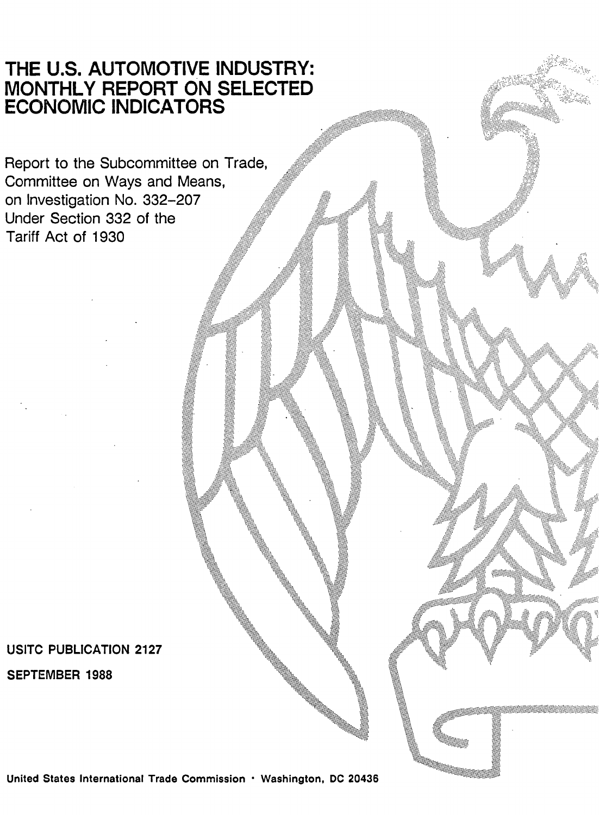# **THE U.S. AUTOMOTIVE INDUSTRY: MONTHLY REPORT ON SELECTED ECONOMIC INDICATORS**

Report to the Subcommittee on Trade, Committee on Ways and Means, on Investigation No. 332-207 Under Section 332 of the Tariff Act of 1930

USITC PUBLICATION 2127 SEPTEMBER 1988

United States International Trade Commission • Washington, DC 20436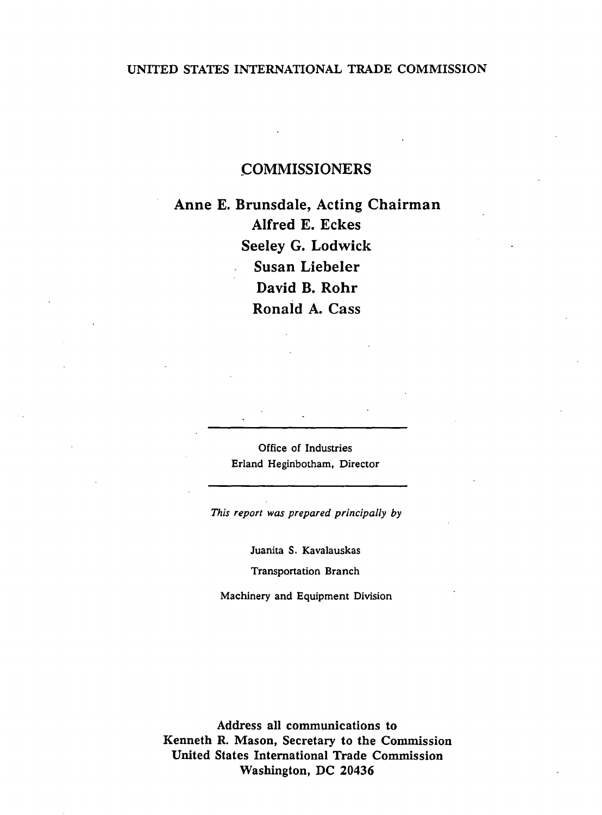#### UNITED STATES INTERNATIONAL TRADE COMMISSION

## **COMMISSIONERS**

Anne E. Brunsdale, Acting Chairman Alfred E. Eckes Seeley G. Lodwick Susan Liebeler David B. Rohr Ronald A. Cass

> Office of Industries Erland Heginbotham, Director

*This report was prepared principally by* 

Juanita S. Kavalauskas

Transportation Branch

Machinery and Equipment Division

Address all communications to Kenneth R. Mason, Secretary to the Commission United States International Trade Commission Washington, DC 20436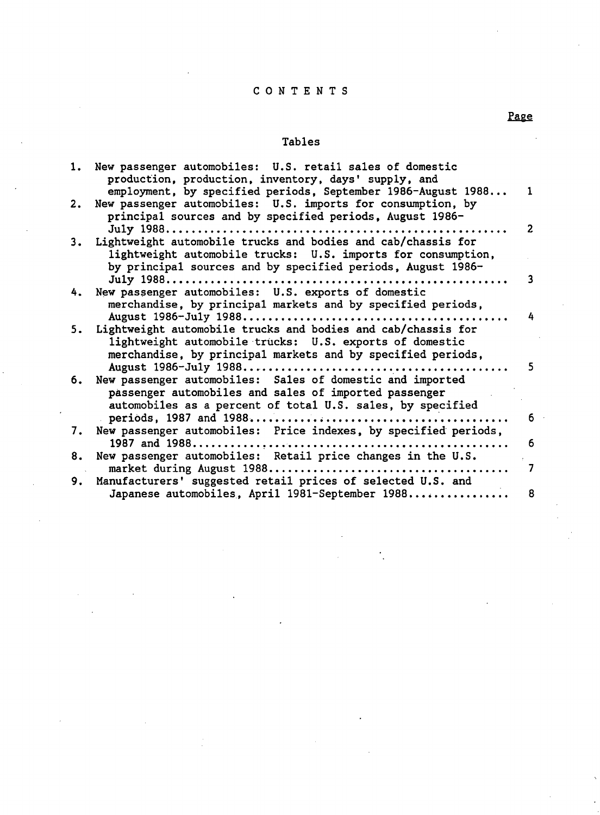#### C 0 N T E N T S

### Tables

|    | 1. New passenger automobiles: U.S. retail sales of domestic<br>production, production, inventory, days' supply, and                                                                         |                |
|----|---------------------------------------------------------------------------------------------------------------------------------------------------------------------------------------------|----------------|
| 2. | employment, by specified periods, September 1986-August 1988<br>New passenger automobiles: U.S. imports for consumption, by<br>principal sources and by specified periods, August 1986-     | 1              |
|    |                                                                                                                                                                                             | $\overline{2}$ |
| 3. | Lightweight automobile trucks and bodies and cab/chassis for<br>lightweight automobile trucks: U.S. imports for consumption,<br>by principal sources and by specified periods, August 1986- |                |
|    |                                                                                                                                                                                             | 3              |
| 4. | New passenger automobiles: U.S. exports of domestic<br>merchandise, by principal markets and by specified periods,                                                                          |                |
|    |                                                                                                                                                                                             | 4              |
| 5. | Lightweight automobile trucks and bodies and cab/chassis for<br>lightweight automobile trucks: U.S. exports of domestic<br>merchandise, by principal markets and by specified periods,      |                |
|    |                                                                                                                                                                                             |                |
| 6. | New passenger automobiles: Sales of domestic and imported<br>passenger automobiles and sales of imported passenger                                                                          |                |
|    | automobiles as a percent of total U.S. sales, by specified                                                                                                                                  |                |
|    |                                                                                                                                                                                             | 6              |
| 7. | New passenger automobiles: Price indexes, by specified periods,                                                                                                                             | 6              |
| 8. | New passenger automobiles: Retail price changes in the U.S.                                                                                                                                 |                |
|    |                                                                                                                                                                                             | 7              |
| 9. | Manufacturers' suggested retail prices of selected U.S. and                                                                                                                                 |                |
|    | Japanese automobiles, April 1981-September 1988                                                                                                                                             | 8              |

Page

 $\ddot{\phantom{a}}$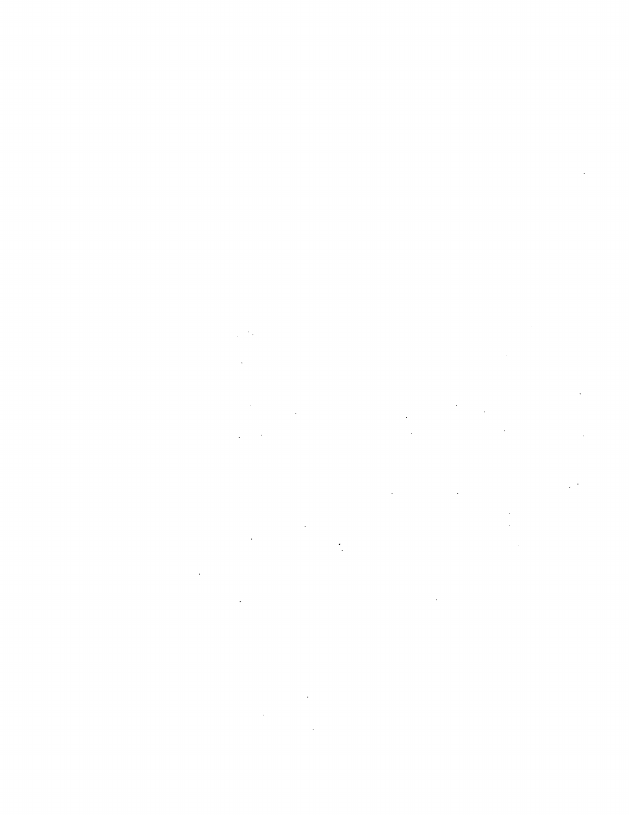$\label{eq:2.1} \frac{1}{2} \sum_{i=1}^n \frac{1}{2} \sum_{j=1}^n \frac{1}{2} \sum_{j=1}^n \frac{1}{2} \sum_{j=1}^n \frac{1}{2} \sum_{j=1}^n \frac{1}{2} \sum_{j=1}^n \frac{1}{2} \sum_{j=1}^n \frac{1}{2} \sum_{j=1}^n \frac{1}{2} \sum_{j=1}^n \frac{1}{2} \sum_{j=1}^n \frac{1}{2} \sum_{j=1}^n \frac{1}{2} \sum_{j=1}^n \frac{1}{2} \sum_{j=1}^n \frac{$ 

 $\label{eq:2.1} \frac{1}{\sqrt{2\pi}}\int_{0}^{\infty}\frac{1}{\sqrt{2\pi}}\left(\frac{1}{\sqrt{2\pi}}\right)^{2\alpha} \frac{1}{\sqrt{2\pi}}\int_{0}^{\infty}\frac{1}{\sqrt{2\pi}}\left(\frac{1}{\sqrt{2\pi}}\right)^{\alpha} \frac{1}{\sqrt{2\pi}}\frac{1}{\sqrt{2\pi}}\int_{0}^{\infty}\frac{1}{\sqrt{2\pi}}\frac{1}{\sqrt{2\pi}}\frac{1}{\sqrt{2\pi}}\frac{1}{\sqrt{2\pi}}\frac{1}{\sqrt{2\pi}}\frac{1}{\sqrt{2\$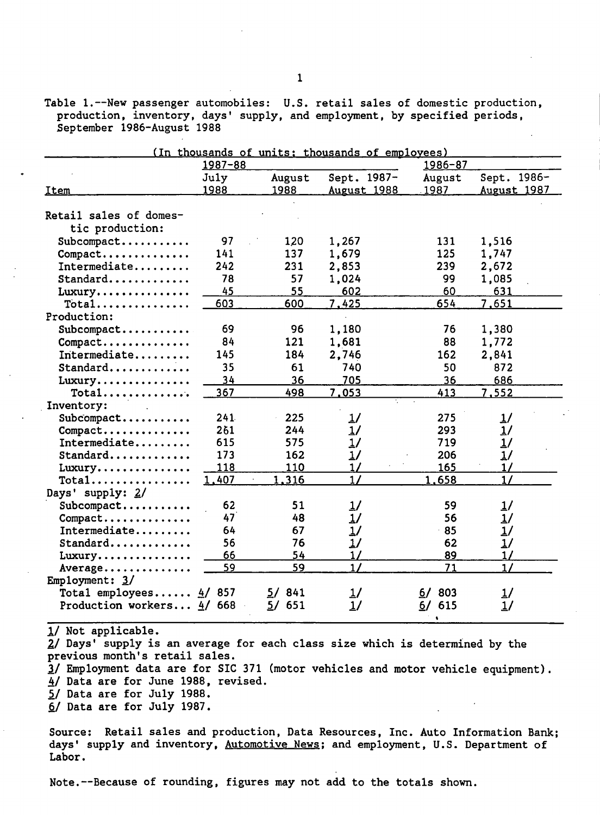Table 1.--New passenger automobiles: U.S. retail sales of domestic production, production, inventory, days' supply, and employment, by specified periods, September 1986-August 1988

| (In thousands of units; thousands of employees) |          |        |                    |          |                |  |  |  |
|-------------------------------------------------|----------|--------|--------------------|----------|----------------|--|--|--|
|                                                 | 1987-88  |        |                    | 1986-87  |                |  |  |  |
|                                                 | July     | August | Sept. 1987-        | August   | Sept. 1986-    |  |  |  |
| <u>Item</u>                                     | 1988     | 1988   | <b>August 1988</b> | 1987     | August 1987    |  |  |  |
|                                                 |          |        |                    |          |                |  |  |  |
| Retail sales of domes-                          |          |        |                    |          |                |  |  |  |
| tic production:                                 |          |        |                    |          |                |  |  |  |
| Subcompact                                      | 97       | 120    | 1,267              | 131      | 1,516          |  |  |  |
| Compact                                         | 141      | 137    | 1,679              | 125      | 1,747          |  |  |  |
| Intermediate                                    | 242      | 231    | 2,853              | 239      | 2,672          |  |  |  |
| Standard                                        | 78       | 57     | 1,024              | 99       | 1,085          |  |  |  |
| Luxury                                          | 45       | 55     | 602                | 60       | 631            |  |  |  |
| $Total$                                         | 603      | 600    | 7,425              | 654      | <u>7.651</u>   |  |  |  |
| Production:                                     |          |        |                    |          |                |  |  |  |
| Subcompact                                      | 69       | 96     | 1,180              | 76       | 1,380          |  |  |  |
| Compact                                         | 84       | 121    | 1,681              | 88       | 1,772          |  |  |  |
| Intermediate                                    | 145      | 184    | 2,746              | 162      | 2,841          |  |  |  |
| Standard                                        | 35       | 61     | 740                | 50       | 872            |  |  |  |
| Luxury                                          | 34       | 36     | 705                | 36       | 686            |  |  |  |
| Total                                           | 367      | 498    | 7,053              | 413      | 7,552          |  |  |  |
| Inventory:                                      |          |        |                    |          |                |  |  |  |
| Subcompact                                      | 241      | 225    | 1/                 | 275      | 1/             |  |  |  |
| Compact                                         | 261      | 244    | 1/                 | 293      | 1/             |  |  |  |
| Intermediate                                    | 615      | 575    | 1/                 | 719      | 1/             |  |  |  |
| Standard                                        | 173      | 162    | 1/                 | 206      | 1/             |  |  |  |
| Luxury                                          | 118      | 110    | <u>1/</u>          | 165      | 1/             |  |  |  |
| $Total \dots \dots \dots \dots \dots$           | 1,407    | 1,316  | 1/                 | 1,658    | 1/             |  |  |  |
| Days' supply: 2/                                |          |        |                    |          |                |  |  |  |
| Subcompact                                      | 62       | 51     | 1/                 | 59       | 1/             |  |  |  |
|                                                 | 47       | 48     | 1/                 | 56       |                |  |  |  |
| Compact<br>Intermediate                         | 64       | 67     |                    | 85       | 1/             |  |  |  |
|                                                 | 56       | 76     | 1/                 | 62       | $\mathbf{1} /$ |  |  |  |
| Standard                                        |          |        | 1/                 |          | 1/             |  |  |  |
| Luxury                                          | 66<br>59 | 54     | 1/<br>1/           | 89<br>71 | 1/<br>1/       |  |  |  |
| Average                                         |          | 59     |                    |          |                |  |  |  |
| Employment: $3/$                                |          |        |                    |          |                |  |  |  |
| Total employees $4/857$                         |          | 5/841  | <u>1/</u>          | 6/803    | 1/             |  |  |  |
| Production workers $4/668$                      |          | 5/651  | 1/                 | 6/615    | 1/             |  |  |  |

*11* Not applicable. *ZI* Days' supply is an average for each class size which is determined by the previous month's retail sales. *'J.I* Employment data are for SIC 371 (motor vehicles and motor vehicle equipment). 4/ Data are for June 1988, revised. 5/ Data are for July 1988. *21* Data are for July 1987.

Source: Retail sales and production, Data Resources, Inc. Auto Information Bank; days' supply and inventory, Automotive News; and employment, U.S. Department of Labor.

Note.--Because of rounding, figures may not add to the totals shown.

1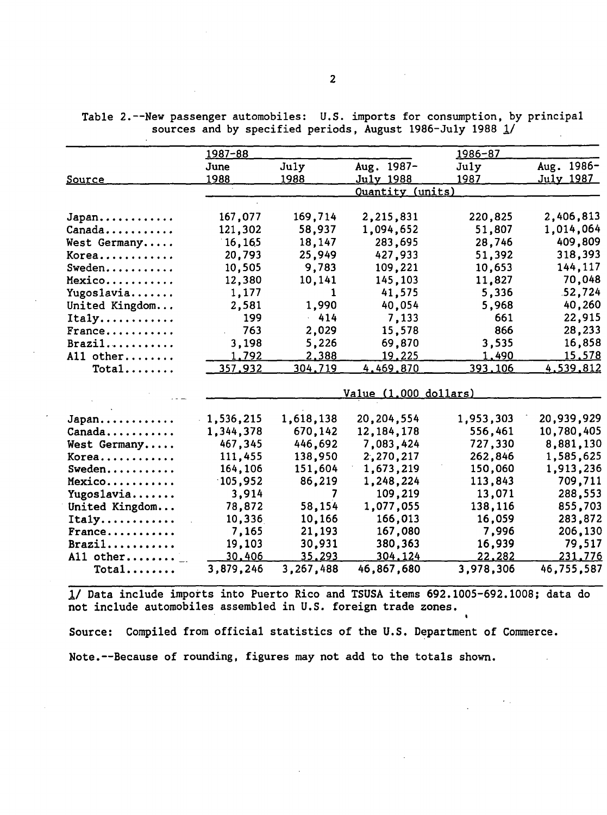|                        | 1987-88   |           |                              | 1986-87   |            |
|------------------------|-----------|-----------|------------------------------|-----------|------------|
|                        | June      | July      | Aug. 1987-                   | July      | Aug. 1986- |
| Source                 | 1988      | 1988      | July 1988                    | 1987      | July 1987  |
|                        |           |           | Quantity (units)             |           |            |
| Japan                  | 167,077   | 169,714   | 2,215,831                    | 220,825   | 2,406,813  |
| Canada                 | 121,302   | 58,937    | 1,094,652                    | 51,807    | 1,014,064  |
| West Germany           | 16,165    | 18,147    | 283,695                      | 28,746    | 409,809    |
| Korea                  | 20,793    | 25,949    | 427,933                      | 51,392    | 318,393    |
| Sweden                 | 10,505    | 9,783     | 109,221                      | 10,653    | 144,117    |
| Mexico                 | 12,380    | 10,141    | 145,103                      | 11,827    | 70,048     |
| Yugoslavia             | 1,177     | 1         | 41,575                       | 5,336     | .52,724    |
| United Kingdom         | 2,581     | 1,990     | 40,054                       | 5,968     | 40,260     |
| Italy                  | 199       | $-414$    | 7,133                        | 661       | 22,915     |
| France                 | 763       | 2,029     | 15,578                       | 866       | 28,233     |
| $Brazil \ldots \ldots$ | 3,198     | 5,226     | 69,870                       | 3,535     | 16,858     |
| All other              | 1,792     | 2,388     | 19,225                       | 1,490     | 15.578     |
| $Total$                | 357,932   | 304,719   | 4,469,870                    | 393,106   | 4,539,812  |
|                        |           |           | <u>Value (1.000 dollars)</u> |           |            |
|                        |           |           |                              |           |            |
| Japan                  | 1,536,215 | 1,618,138 | 20,204,554                   | 1,953,303 | 20,939,929 |
| Canada                 | 1,344,378 | 670,142   | 12,184,178                   | 556,461   | 10,780,405 |
| West Germany           | 467,345   | 446,692   | 7,083,424                    | 727,330   | 8,881,130  |
| Korea                  | 111,455   | 138,950   | 2,270,217                    | 262,846   | 1,585,625  |
| Sweden                 | 164,106   | 151,604   | 1,673,219                    | 150,060   | 1,913,236  |
| Mexico                 | 105,952   | 86,219    | 1,248,224                    | 113,843   | 709,711    |
| Yugoslavia             | 3,914     | 7         | 109,219                      | 13,071    | 288,553    |
| United Kingdom         | 78,872    | 58,154    | 1,077,055                    | 138,116   | 855,703    |
| Italy                  | 10,336    | 10,166    | 166,013                      | 16,059    | 283,872    |
| France                 | 7,165     | 21,193    | 167,080                      | 7,996     | 206,130    |
| $Brazil$               | 19,103    | 30,931    | 380,363                      | 16,939    | 79,517     |
| All other              | 30,406    | 35,293    | 304.124                      | 22,282    | 231,776    |
| $Total$                | 3,879,246 | 3,267,488 | 46,867,680                   | 3,978,306 | 46,755,587 |

Table 2.--New passenger automobiles: U.S. imports for consumption, by principal sources and by specified periods, August 1986-July 1988 1/

l/ Data include imports into Puerto Rico and TSUSA items 692.1005-692.1008; data do not include automobiles assembled in U.S. foreign trade zones.

 $\epsilon_{\rm eff}$ 

Source: Compiled from official statistics of the U.S. Department of Commerce. Note.--Because of rounding, figures may not add to the totals shown.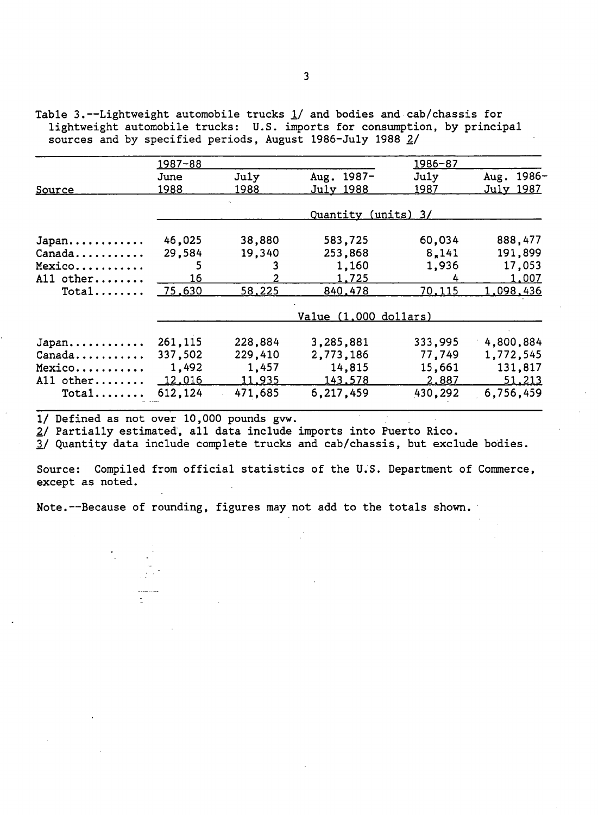Table 3.--Lightweight automobile trucks  $1/$  and bodies and cab/chassis for lightweight automobile trucks: U.S. imports for consumption, by principal sources and by specified periods, August 1986-July 1988 2/

|               | $1987 - 88$           |               |                     | 1986-87 |                  |  |  |  |
|---------------|-----------------------|---------------|---------------------|---------|------------------|--|--|--|
|               | June                  | July          | Aug. 1987-          | July    | Aug. 1986-       |  |  |  |
| <u>Source</u> | 1988                  | <u> 1988 </u> | July 1988           | 1987    | <u>July 1987</u> |  |  |  |
|               |                       |               | Quantity (units) 3/ |         |                  |  |  |  |
| Japan         | 46,025                | 38,880        | 583,725             | 60,034  | 888,477          |  |  |  |
| Canada        | 29,584                | 19,340        | 253,868             | 8,141   | 191,899          |  |  |  |
| Mexico        | 5                     |               | 1,160               | 1,936   | 17,053           |  |  |  |
| All other     | 16                    |               | 1,725               | 4       | 1,007            |  |  |  |
| $Total$       | 75,630                | 58,225        | 840,478             | 70,115  | 1,098,436        |  |  |  |
|               | Value (1,000 dollars) |               |                     |         |                  |  |  |  |
| Japan         | 261,115               | 228,884       | 3,285,881           | 333,995 | 4,800,884        |  |  |  |
| Canada        | 337,502               | 229,410       | 2,773,186           | 77,749  | 1,772,545        |  |  |  |
| Mexico        | 1,492                 | 1,457         | 14,815              | 15,661  | 131,817          |  |  |  |
| All other     | 12,016                | <u>11,935</u> | 143,578             | 2,887   | 51,213           |  |  |  |
| $Total$       | 612,124               | 471,685       | 6,217,459           | 430,292 | 6,756,459        |  |  |  |

1/ Defined as not over 10,000 pounds gvw.

 $\mathbb{Z}^+$ 

2/ Partially estimated, all data include imports into Puerto Rico.

11 Quantity data include complete trucks and cab/chassis, but exclude bodies.

Source: Compiled from official statistics of the U.S. Department of Commerce, except as noted.

Note.--Because of rounding, figures may not add to the totals shown.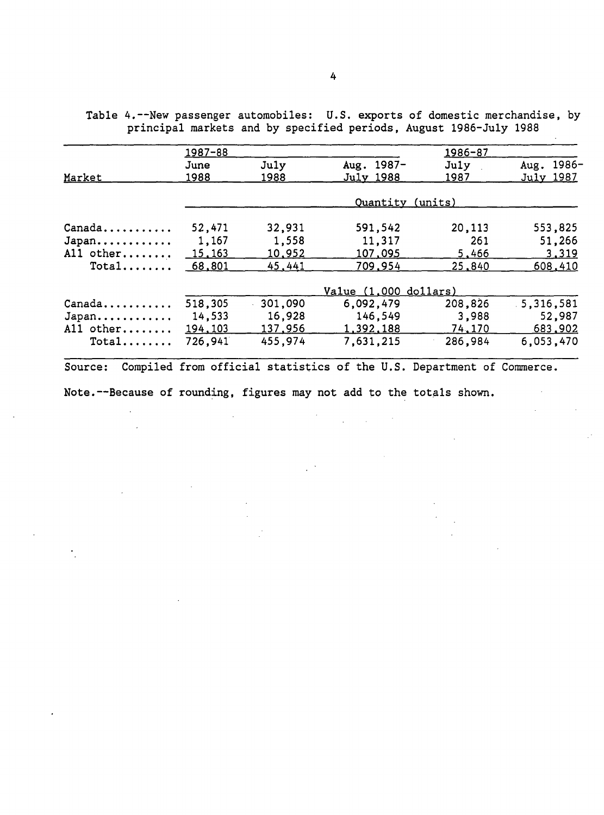|  |  |                                                                   |  | Table 4.--New passenger automobiles: U.S. exports of domestic merchandise, by |  |
|--|--|-------------------------------------------------------------------|--|-------------------------------------------------------------------------------|--|
|  |  | principal markets and by specified periods, August 1986-July 1988 |  |                                                                               |  |

|           | $1987 - 88$ |               |                               | 1986-87       |            |
|-----------|-------------|---------------|-------------------------------|---------------|------------|
|           | June        | July          | Aug. 1987-                    | July          | Aug. 1986- |
| Market    | 1988        | <u> 1988 </u> | <u>July 1988</u>              | <u> 1987 </u> | July 1987  |
|           |             |               | Quantity (units)              |               |            |
| Canada    | 52,471      | 32,931        | 591,542                       | 20,113        | 553,825    |
| Japan     | 1,167       | 1,558         | 11,317                        | 261           | 51,266     |
| All other | 15.163      | 10,952        | 107,095                       | 5,466         | 3,319      |
| $Total$   | 68,801      | 45,441        | 709.954                       | 25,840        | 608,410    |
|           |             |               | <u> Value (1.000 dollars)</u> |               |            |
| Canada    | 518,305     | 301,090       | 6,092,479                     | 208,826       | 5,316,581  |
| Japan     | 14,533      | 16,928        | 146,549                       | 3,988         | 52,987     |
| All other | 194, 103    | 137,956       | 1,392,188                     | 74,170        | 683,902    |
| $Total$   | 726.941     | 455,974       | 7,631,215                     | 286,984       | 6,053,470  |

Note.--Because of rounding, figures may not add to the totals shown.

 $\mathcal{L}^{\mathcal{L}}(\mathcal{L}^{\mathcal{L}}(\mathcal{L}^{\mathcal{L}}(\mathcal{L}^{\mathcal{L}}(\mathcal{L}^{\mathcal{L}}(\mathcal{L}^{\mathcal{L}}(\mathcal{L}^{\mathcal{L}}(\mathcal{L}^{\mathcal{L}}(\mathcal{L}^{\mathcal{L}}(\mathcal{L}^{\mathcal{L}}(\mathcal{L}^{\mathcal{L}}(\mathcal{L}^{\mathcal{L}}(\mathcal{L}^{\mathcal{L}}(\mathcal{L}^{\mathcal{L}}(\mathcal{L}^{\mathcal{L}}(\mathcal{L}^{\mathcal{L}}(\mathcal{L}^{\mathcal{L$ 

 $\sim$   $^{\circ}$ 

 $\sim 10^{-1}$ 

 $\sim$ 

 $\mathbb{Z}$ 

 $\frac{1}{2} \sum_{i=1}^{n} \frac{1}{2} \sum_{j=1}^{n} \frac{1}{2} \sum_{j=1}^{n} \frac{1}{2} \sum_{j=1}^{n} \frac{1}{2} \sum_{j=1}^{n} \frac{1}{2} \sum_{j=1}^{n} \frac{1}{2} \sum_{j=1}^{n} \frac{1}{2} \sum_{j=1}^{n} \frac{1}{2} \sum_{j=1}^{n} \frac{1}{2} \sum_{j=1}^{n} \frac{1}{2} \sum_{j=1}^{n} \frac{1}{2} \sum_{j=1}^{n} \frac{1}{2} \sum_{j=1}^{n$ 

 $\mathbf{r}$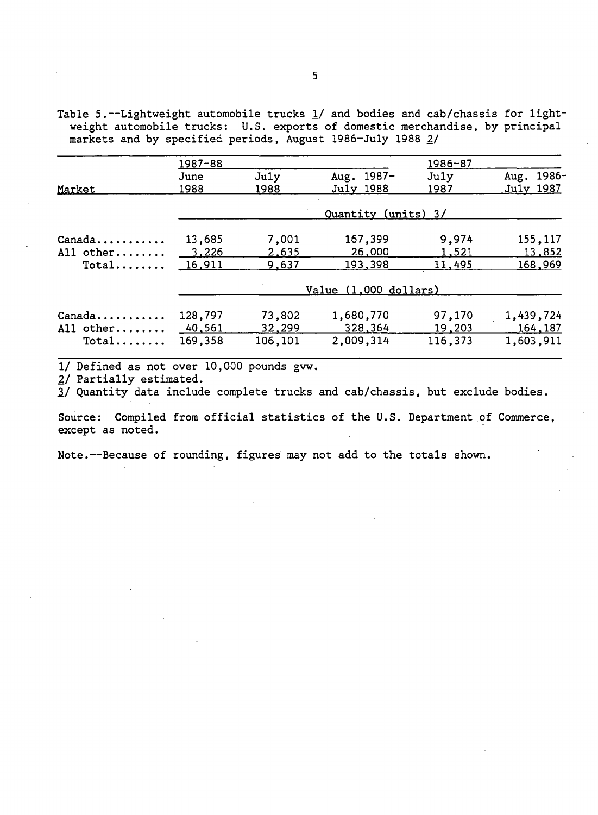Table 5.--Lightweight automobile trucks 1/ and bodies and cab/chassis for lightweight automobile trucks: U.S. exports of domestic merchandise, by principal markets and by specified periods, August 1986-July 1988 2/

|                      | $1987 - 88$       |                  |                       | $1986 - 87$      |                       |
|----------------------|-------------------|------------------|-----------------------|------------------|-----------------------|
|                      | June              | July             | Aug. 1987-            | July             | Aug. 1986-            |
| Market               | 1988              | 1988             | July 1988             | 1987             | July 1987             |
|                      |                   |                  | Quantity (units) 3/   |                  |                       |
| Canada               | 13,685            | 7,001            | 167,399               | 9.974            | 155, 117              |
| All other            | 3,226             | 2,635            | 26,000                | 1,521            | 13,852                |
| $Total$              | 16,911            | 9,637            | 193,398               | 11,495           | 168,969               |
|                      |                   |                  | Value (1,000 dollars) |                  |                       |
| Canada               | 128,797           | 73,802<br>32,299 | 1,680,770<br>328,364  | 97,170<br>19,203 | 1,439,724             |
| All other<br>$Total$ | 40,561<br>169,358 | 106,101          | 2,009,314             | 116,373          | 164, 187<br>1,603,911 |

1/ Defined as not over 10,000 pounds gvw.

*21* Partially estimated.

 $\overline{3}$ / Quantity data include complete trucks and cab/chassis, but exclude bodies.

Source: Compiled from official statistics of the U.S. Department of Commerce, except as noted.

Note.--Because of rounding, figures may not add to the totals shown.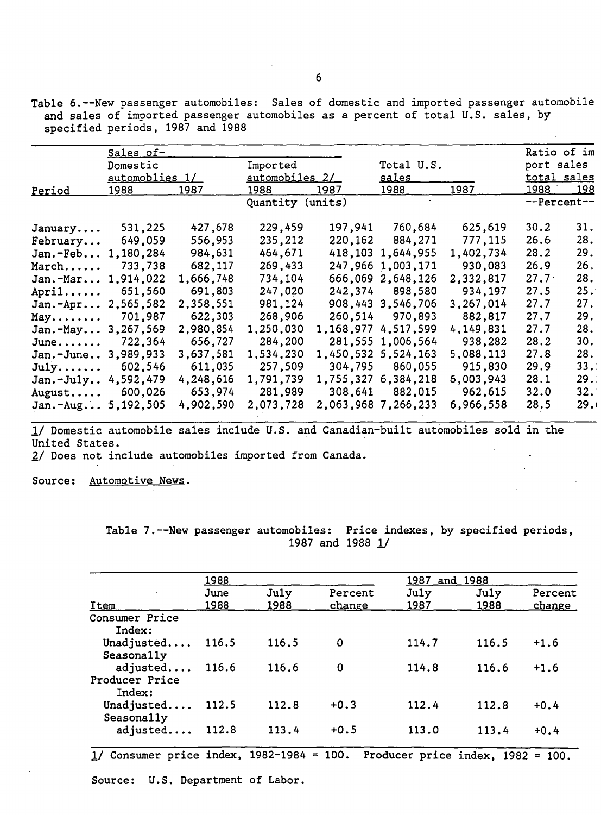|                      | Sales of-             |           |                       |               |                     |           | Ratio of im       |             |
|----------------------|-----------------------|-----------|-----------------------|---------------|---------------------|-----------|-------------------|-------------|
|                      | Domestic              |           | Imported              |               | Total U.S.          |           | port sales        |             |
|                      | <u>automoblies 1/</u> |           | <u>automobiles</u> 2/ |               | <u>sales</u>        |           | total sales       |             |
| Period               | 1988                  | 1987      | 1988                  | <u> 1987 </u> | 1988                | 1987      | <u> 1988 —</u>    | <u> 198</u> |
|                      |                       |           | Quantity (units)      |               |                     |           | --Percent--       |             |
| January              | 531,225               | 427,678   | 229,459               | 197,941       | 760,684             | 625,619   | 30.2              | 31.         |
| February             | 649,059               | 556,953   | 235,212               | 220,162       | 884,271             | 777, 115  | 26.6              | 28.         |
| Jan.-Feb 1,180,284   |                       | 984,631   | 464,671               |               | 418,103 1,644,955   | 1,402,734 | 28.2              | 29.         |
| March                | 733,738               | 682,117   | 269,433               |               | 247.966 1.003.171   | 930,083   | 26.9              | 26.         |
| Jan.-Mar 1,914,022   |                       | 1,666,748 | 734,104               |               | 666,069 2,648,126   | 2,332,817 | 27.7 <sup>2</sup> | 28.         |
| $April \ldots$       | 651,560               | 691,803   | 247,020               | 242,374       | 898,580             | 934,197   | 27.5              | 25.         |
| Jan.-Apr 2,565,582   |                       | 2,358,551 | 981,124               |               | 908,443 3,546,706   | 3,267,014 | 27.7              | 27.         |
| $May. \ldots \ldots$ | 701,987               | 622,303   | 268,906               |               | 260.514 970.893     | 882,817   | 27.7              | 29.1        |
| Jan.-May 3,267,569   |                       | 2,980,854 | 1,250,030             |               | 1,168,977 4,517,599 | 4,149,831 | 27.7              | 28.         |
| $June \dots \dots$   | 722,364               | 656,727   | 284,200               |               | 281,555 1,006,564   | 938,282   | 28.2              | 30.1        |
| Jan.-June 3,989,933  |                       | 3,637,581 | 1,534,230             |               | 1,450,532 5,524,163 | 5,088,113 | 27.8              | 28.         |
| $July \dots \dots$   | 602,546               | 611,035   | 257,509               | 304,795       | 860,055             | 915,830   | 29.9              | 33.1        |
| Jan.-July 4,592,479  |                       | 4,248,616 | 1,791,739             |               | 1,755,327 6,384,218 | 6,003,943 | 28.1              | 29.7        |
| August               | 600,026               | 653,974   | 281,989               | 308,641       | 882,015             | 962,615   | 32.0              | 32.         |
| Jan.-Aug 5, 192, 505 |                       | 4,902,590 | 2,073,728             |               | 2,063,968 7,266,233 | 6,966,558 | 28.5              | 29.1        |

Table 6.--New passenger automobiles: Sales of domestic and imported passenger automobile and sales of imported passenger automobiles as a percent of total U.S. sales, by specified periods, 1987 and 1988

1/ Domestic automobile sales include U.S. and Canadian-built automobiles sold in the United States.

2/ Does not include automobiles imported from Canada.

Source: Automotive News.

Table 7.--New passenger automobiles: Price indexes, by specified periods, 1987 and 1988 1/

|                                            | 1988         |              |                          | 1987         | and 1988     |                          |
|--------------------------------------------|--------------|--------------|--------------------------|--------------|--------------|--------------------------|
| Item                                       | June<br>1988 | July<br>1988 | Percent<br><u>change</u> | July<br>1987 | July<br>1988 | Percent<br><u>change</u> |
| Consumer Price<br>Index:                   |              |              |                          |              |              |                          |
| Unadjusted<br>Seasonally                   | 116.5        | 116.5        | 0                        | 114.7        | 116.5        | $+1.6$                   |
| adjusted 116.6<br>Producer Price<br>Index: |              | 116.6        | 0                        | 114.8        | 116.6        | $+1.6$                   |
| Unadjusted<br>Seasonally                   | 112.5        | 112.8        | $+0.3$                   | 112.4        | 112.8        | $+0.4$                   |
| adjusted                                   | 112.8        | 113.4        | $+0.5$                   | 113.0        | 113.4        | $+0.4$                   |

11 Consumer price index, 1982-1984 = 100. Producer price index, 1982 = 100.

Source: U.S. Department of Labor.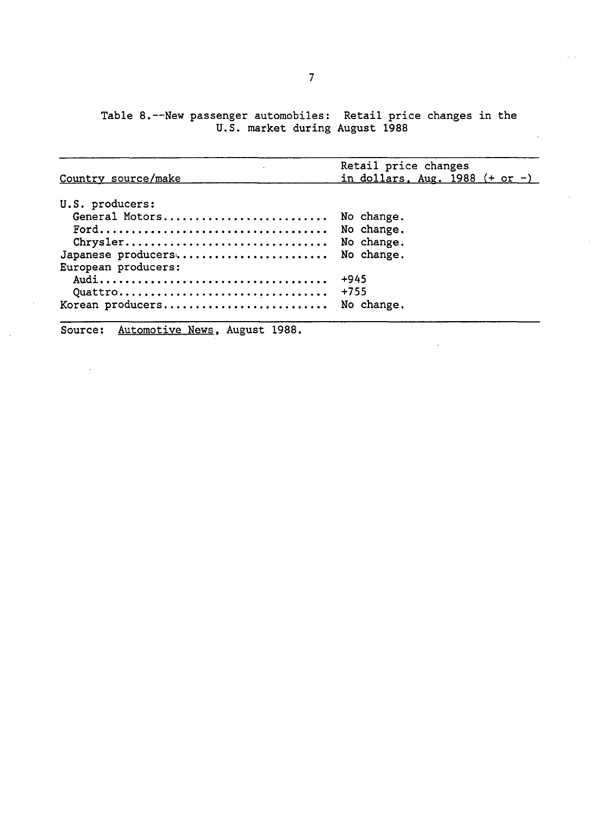Table 8.--New passenger automobiles: Retail price changes in the U.S. market during August 1988

|                           | Retail price changes             |  |  |  |  |  |
|---------------------------|----------------------------------|--|--|--|--|--|
| Country source/make       | in dollars, Aug. $1988 (+ or -)$ |  |  |  |  |  |
|                           |                                  |  |  |  |  |  |
| U.S. producers:           |                                  |  |  |  |  |  |
| General Motors No change. |                                  |  |  |  |  |  |
|                           | No change.                       |  |  |  |  |  |
| Chrysler                  | No change.                       |  |  |  |  |  |
| Japanese producers        | No change.                       |  |  |  |  |  |
| European producers:       |                                  |  |  |  |  |  |
|                           | $+945$                           |  |  |  |  |  |
| Quattro                   | $+755$                           |  |  |  |  |  |
| Korean producers          | No change.                       |  |  |  |  |  |

Source: Automotive News, August 1988.

 $\ddot{\phantom{a}}$